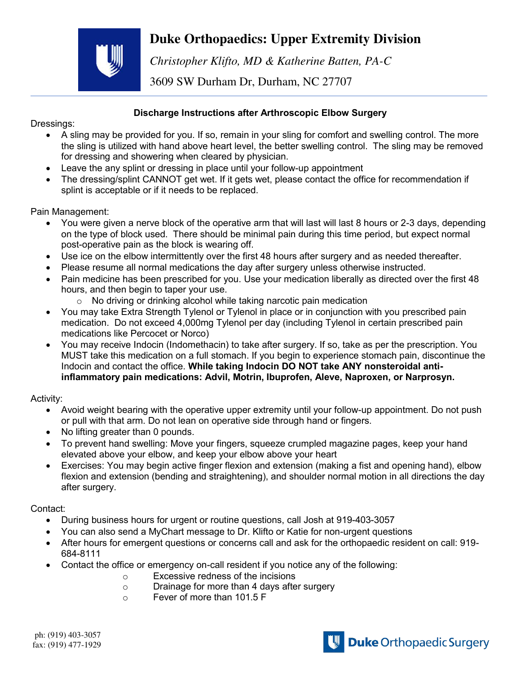## **Duke Orthopaedics: Upper Extremity Division**



*Christopher Klifto, MD & Katherine Batten, PA-C* 

3609 SW Durham Dr, Durham, NC 27707

## **Discharge Instructions after Arthroscopic Elbow Surgery**

Dressings:

- A sling may be provided for you. If so, remain in your sling for comfort and swelling control. The more the sling is utilized with hand above heart level, the better swelling control. The sling may be removed for dressing and showering when cleared by physician.
- Leave the any splint or dressing in place until your follow-up appointment
- The dressing/splint CANNOT get wet. If it gets wet, please contact the office for recommendation if splint is acceptable or if it needs to be replaced.

## Pain Management:

- You were given a nerve block of the operative arm that will last will last 8 hours or 2-3 days, depending on the type of block used. There should be minimal pain during this time period, but expect normal post-operative pain as the block is wearing off.
- Use ice on the elbow intermittently over the first 48 hours after surgery and as needed thereafter.
- Please resume all normal medications the day after surgery unless otherwise instructed.
- Pain medicine has been prescribed for you. Use your medication liberally as directed over the first 48 hours, and then begin to taper your use.
	- o No driving or drinking alcohol while taking narcotic pain medication
- You may take Extra Strength Tylenol or Tylenol in place or in conjunction with you prescribed pain medication. Do not exceed 4,000mg Tylenol per day (including Tylenol in certain prescribed pain medications like Percocet or Norco)
- You may receive Indocin (Indomethacin) to take after surgery. If so, take as per the prescription. You MUST take this medication on a full stomach. If you begin to experience stomach pain, discontinue the Indocin and contact the office. **While taking Indocin DO NOT take ANY nonsteroidal antiinflammatory pain medications: Advil, Motrin, Ibuprofen, Aleve, Naproxen, or Narprosyn.**

Activity:

- Avoid weight bearing with the operative upper extremity until your follow-up appointment. Do not push or pull with that arm. Do not lean on operative side through hand or fingers.
- No lifting greater than 0 pounds.
- To prevent hand swelling: Move your fingers, squeeze crumpled magazine pages, keep your hand elevated above your elbow, and keep your elbow above your heart
- Exercises: You may begin active finger flexion and extension (making a fist and opening hand), elbow flexion and extension (bending and straightening), and shoulder normal motion in all directions the day after surgery.

Contact:

- During business hours for urgent or routine questions, call Josh at 919-403-3057
- You can also send a MyChart message to Dr. Klifto or Katie for non-urgent questions
- After hours for emergent questions or concerns call and ask for the orthopaedic resident on call: 919- 684-8111
- Contact the office or emergency on-call resident if you notice any of the following:
	- o Excessive redness of the incisions
	- o Drainage for more than 4 days after surgery
	- o Fever of more than 101.5 F

ph: (919) 403-3057 fax: (919) 477-1929